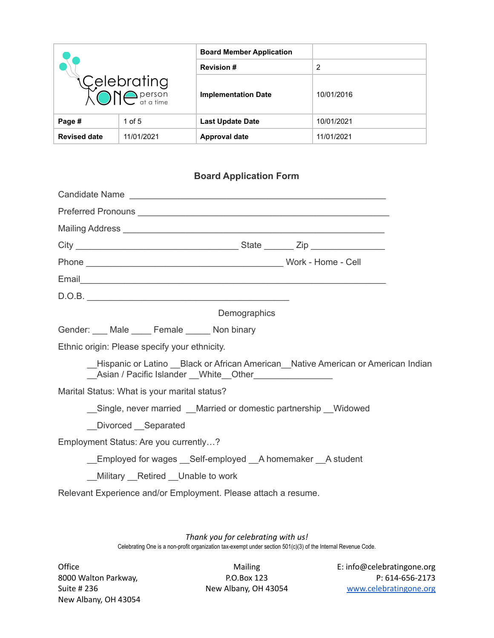| Celebrating<br>XONC <sup>person</sup> |            | <b>Board Member Application</b> |            |
|---------------------------------------|------------|---------------------------------|------------|
|                                       |            | <b>Revision #</b>               | 2          |
|                                       |            | <b>Implementation Date</b>      | 10/01/2016 |
| Page #                                | 1 of $5$   | <b>Last Update Date</b>         | 10/01/2021 |
| <b>Revised date</b>                   | 11/01/2021 | <b>Approval date</b>            | 11/01/2021 |

## **Board Application Form**

| Candidate Name                                                                                                          |  |  |  |
|-------------------------------------------------------------------------------------------------------------------------|--|--|--|
|                                                                                                                         |  |  |  |
|                                                                                                                         |  |  |  |
|                                                                                                                         |  |  |  |
|                                                                                                                         |  |  |  |
|                                                                                                                         |  |  |  |
|                                                                                                                         |  |  |  |
| Demographics                                                                                                            |  |  |  |
| Gender: ___ Male ____ Female _____ Non binary                                                                           |  |  |  |
| Ethnic origin: Please specify your ethnicity.                                                                           |  |  |  |
| Hispanic or Latino Black or African American Native American or American Indian<br>Asian / Pacific Islander White Other |  |  |  |
| Marital Status: What is your marital status?                                                                            |  |  |  |
| Single, never married Married or domestic partnership Widowed                                                           |  |  |  |
| Divorced Separated                                                                                                      |  |  |  |
| Employment Status: Are you currently?                                                                                   |  |  |  |
| Employed for wages Self-employed A homemaker A student                                                                  |  |  |  |
| Military Retired Unable to work                                                                                         |  |  |  |
| Relevant Experience and/or Employment. Please attach a resume.                                                          |  |  |  |
|                                                                                                                         |  |  |  |

*Thank you for celebrating with us!* Celebrating One is a non-profit organization tax-exempt under section 501(c)(3) of the Internal Revenue Code.

New Albany, OH 43054

Office **Contract Contract Contract Contract Contract Contract Contract Contract Contract Contract Contract Contract Contract Contract Contract Contract Contract Contract Contract Contract Contract Contract Contract Contrac** 8000 Walton Parkway, P.O.Box 123 P: 614-656-2173 Suite # 236 New Albany, OH 43054 [www.celebratingone.org](http://www.celebratingone.org)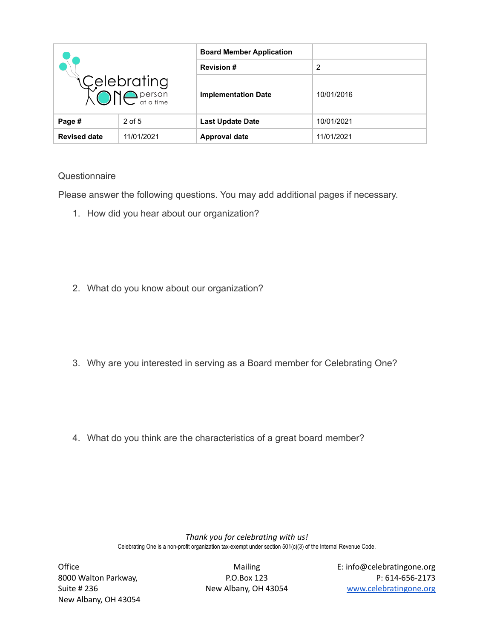| Celebrating<br>XONC <sup>person</sup> |            | <b>Board Member Application</b> |            |
|---------------------------------------|------------|---------------------------------|------------|
|                                       |            | <b>Revision #</b>               | 2          |
|                                       |            | <b>Implementation Date</b>      | 10/01/2016 |
| Page #                                | $2$ of 5   | <b>Last Update Date</b>         | 10/01/2021 |
| <b>Revised date</b>                   | 11/01/2021 | Approval date                   | 11/01/2021 |

## **Questionnaire**

Please answer the following questions. You may add additional pages if necessary.

1. How did you hear about our organization?

- 2. What do you know about our organization?
- 3. Why are you interested in serving as a Board member for Celebrating One?

4. What do you think are the characteristics of a great board member?

*Thank you for celebrating with us!* Celebrating One is a non-profit organization tax-exempt under section 501(c)(3) of the Internal Revenue Code.

New Albany, OH 43054

Office Mailing E: info@celebratingone.org 8000 Walton Parkway, P.O.Box 123 P: 614-656-2173 Suite # 236 New Albany, OH 43054 [www.celebratingone.org](http://www.celebratingone.org)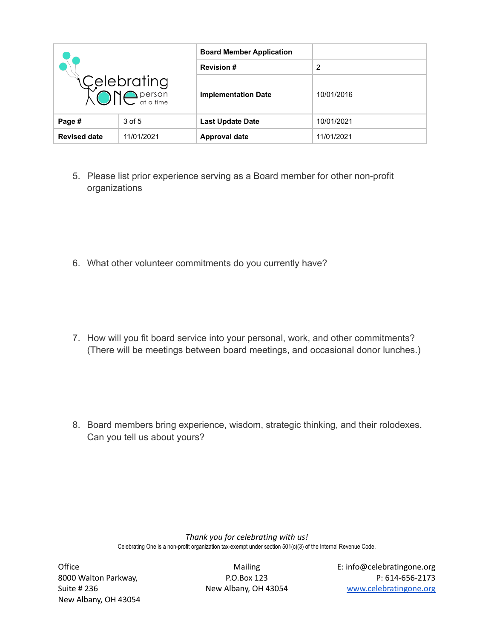| Celebrating<br>XONC <sup>person</sup> |            | <b>Board Member Application</b> |            |
|---------------------------------------|------------|---------------------------------|------------|
|                                       |            | <b>Revision #</b>               | 2          |
|                                       |            | <b>Implementation Date</b>      | 10/01/2016 |
| Page #                                | 3 of 5     | <b>Last Update Date</b>         | 10/01/2021 |
| <b>Revised date</b>                   | 11/01/2021 | Approval date                   | 11/01/2021 |

- 5. Please list prior experience serving as a Board member for other non-profit organizations
- 6. What other volunteer commitments do you currently have?
- 7. How will you fit board service into your personal, work, and other commitments? (There will be meetings between board meetings, and occasional donor lunches.)
- 8. Board members bring experience, wisdom, strategic thinking, and their rolodexes. Can you tell us about yours?

*Thank you for celebrating with us!* Celebrating One is a non-profit organization tax-exempt under section 501(c)(3) of the Internal Revenue Code.

New Albany, OH 43054

Office Mailing E: info@celebratingone.org 8000 Walton Parkway, P.O.Box 123 P: 614-656-2173 Suite # 236 New Albany, OH 43054 [www.celebratingone.org](http://www.celebratingone.org)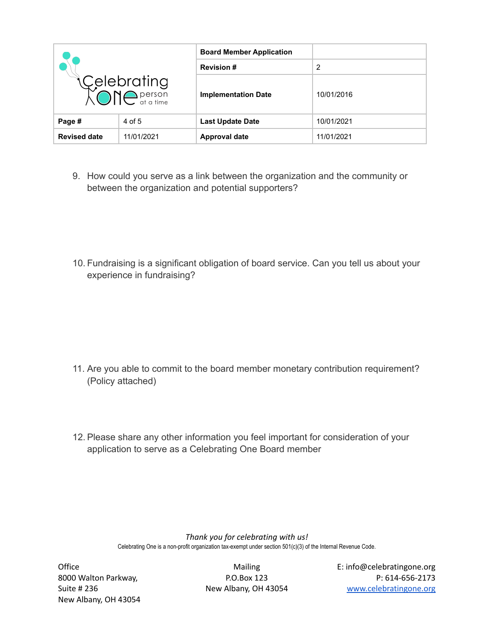| Celebrating<br>XONC <sup>person</sup> |            | <b>Board Member Application</b> |            |
|---------------------------------------|------------|---------------------------------|------------|
|                                       |            | <b>Revision #</b>               | 2          |
|                                       |            | <b>Implementation Date</b>      | 10/01/2016 |
| Page #                                | 4 of 5     | <b>Last Update Date</b>         | 10/01/2021 |
| <b>Revised date</b>                   | 11/01/2021 | Approval date                   | 11/01/2021 |

- 9. How could you serve as a link between the organization and the community or between the organization and potential supporters?
- 10. Fundraising is a significant obligation of board service. Can you tell us about your experience in fundraising?

- 11. Are you able to commit to the board member monetary contribution requirement? (Policy attached)
- 12. Please share any other information you feel important for consideration of your application to serve as a Celebrating One Board member

*Thank you for celebrating with us!* Celebrating One is a non-profit organization tax-exempt under section 501(c)(3) of the Internal Revenue Code.

New Albany, OH 43054

Office Mailing E: info@celebratingone.org 8000 Walton Parkway, P.O.Box 123 P: 614-656-2173 Suite # 236 New Albany, OH 43054 [www.celebratingone.org](http://www.celebratingone.org)